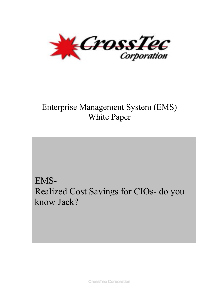

# Enterprise Management System (EMS) White Paper

# EMS-Realized Cost Savings for CIOs- do you know Jack?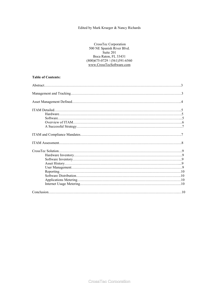#### Edited by Mark Krueger & Nancy Richards

 CrossTec Corporation 500 NE Spanish River Blvd. Suite 201 Boca Raton, FL 33431 (800)675-0729 / (561)391-6560 www.CrossTecSoftware.com

#### **Table of Contents:**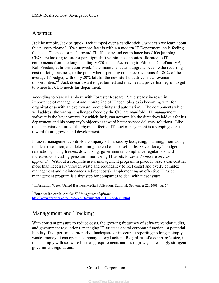## Abstract

Jack be nimble, Jack be quick, Jack jumped over a candle stick…what can we learn about this nursery rhyme? If we suppose Jack is within a modern IT Department, he is feeling the heat. The need or push toward IT efficiency and compliance has CIOs jumping. CEOs are looking to force a paradigm shift within those monies allocated to IT components from the long-standing 80/20 tenet. According to Editor in Chief and VP, Rob Preston, at Information Week: "the maintenance and upgrade became the recurring cost of doing business, to the point where spending on upkeep accounts for 80% of the average IT budget, with only 20% left for the new stuff that drives new revenue opportunities."<sup>I</sup> Jack doesn't want to get burned and may need a proverbial leg-up to get to where his CEO needs his department.

According to Nancy Lambert, with Forrester Research<sup>2</sup>, the steady increase in importance of management and monitoring of IT technologies is becoming vital for organizations- with an eye toward productivity and automation. The components which will address the various challenges faced by the CIO are manifold. IT management software is the key however, by which Jack, can accomplish the directives laid out for his department and his company's objectives toward better service delivery solutions. Like the elementary nature of the rhyme, effective IT asset management is a stepping stone toward future growth and development.

IT asset management controls a company's IT assets by budgeting, planning, monitoring, incident resolution, and determining the end of an asset's life. Given today's budget restrictions, hiring freezes, downsizing, governmental compliance regulations, and increased cost-cutting pressure - monitoring IT assets forces a *do more with less approach*. Without a comprehensive management program in place IT assets can cost far more than necessary through waste and redundancy (direct costs) and overly complex management and maintenance (indirect costs). Implementing an effective IT asset management program is a first step for companies to deal with these issues.

<sup>1</sup> Information Week, United Business Media Publication, Editorial, September 22, 2008. pg. 54

2 Forrester Research, Article: *IT Management Software* http://www.forester.com/Research/Document/0,7211,39996,00.html

## Management and Tracking

With constant pressure to reduce costs, the growing frequency of software vendor audits, and government regulations, managing IT assets is a vital corporate function - a potential liability if not performed properly. Inadequate or inaccurate reporting no longer simply wastes money; it can open a company to legal action. Regardless of a company's size, it must comply with software licensing requirements and, as it grows, increasingly stringent government regulations.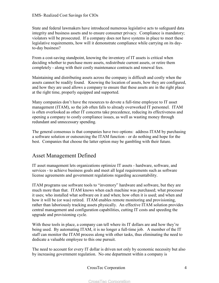State and federal lawmakers have introduced numerous legislative acts to safeguard data integrity and business assets and to ensure consumer privacy. Compliance is mandatory; violators will be prosecuted. If a company does not have systems in place to meet these legislative requirements, how will it demonstrate compliance while carrying on its dayto-day business?

From a cost-saving standpoint, knowing the inventory of IT assets is critical when deciding whether to purchase more assets, redistribute current assets, or retire them completely - along with their costly maintenance contracts and renewal fees.

Maintaining and distributing assets across the company is difficult and costly when the assets cannot be readily found. Knowing the location of assets, how they are configured, and how they are used allows a company to ensure that these assets are in the right place at the right time, properly equipped and supported.

Many companies don't have the resources to devote a full-time employee to IT asset management (ITAM), so the job often falls to already overworked IT personnel. ITAM is often overlooked as other IT concerns take precedence, reducing its effectiveness and opening a company to costly compliance issues, as well as wasting money through redundant and unnecessary spending.

The general consensus is that companies have two options: address ITAM by purchasing a software solution or outsourcing the ITAM function - or do nothing and hope for the best. Companies that choose the latter option may be gambling with their future.

## Asset Management Defined

IT asset management lets organizations optimize IT assets - hardware, software, and services - to achieve business goals and meet all legal requirements such as software license agreements and government regulations regarding accountability.

ITAM programs use software tools to "inventory" hardware and software, but they are much more than that. ITAM knows when each machine was purchased; what processor it uses; who installed what software on it and when; how often it is used; and when and how it will be (or was) retired. ITAM enables remote monitoring and provisioning, rather than laboriously tracking assets physically. An effective ITAM solution provides central management and configuration capabilities, cutting IT costs and speeding the upgrade and provisioning cycle.

With these tools in place, a company can tell where its IT dollars are and how they're being used. By automating ITAM, it is no longer a full-time job. A member of the IT staff can monitor the ITAM process along with other tasks, thus eliminating the need to dedicate a valuable employee to this one pursuit.

The need to account for every IT dollar is driven not only by economic necessity but also by increasing government regulation. No one department within a company is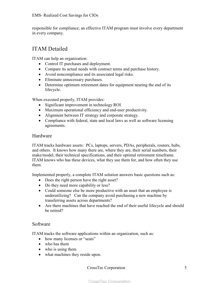responsible for compliance; an effective ITAM program must involve every department in every company.

## ITAM Detailed

ITAM can help an organization:

- Control IT purchases and deployment.
- Compare its actual needs with contract terms and purchase history.
- Avoid noncompliance and its associated legal risks.
- Eliminate unnecessary purchases.
- Determine optimum retirement dates for equipment nearing the end of its lifecycle.

When executed properly, ITAM provides:

- Significant improvement in technology ROI.
- Maximum operational efficiency and end-user productivity.
- Alignment between IT strategy and corporate strategy.
- Compliance with federal, state and local laws as well as software licensing agreements.

#### Hardware

ITAM tracks hardware assets: PCs, laptops, servers, PDAs, peripherals, routers, hubs, and others. It knows how many there are, where they are, their serial numbers, their make/model, their technical specifications, and their optimal retirement timeframe. ITAM knows who has these devices, what they use them for, and how often they use them.

Implemented properly, a complete ITAM solution answers basic questions such as:

- Does the right person have the right asset?
- Do they need more capability or less?
- Could someone else be more productive with an asset that an employee is underutilizing? Can the company avoid purchasing a new machine by transferring assets across departments?
- Are there machines that have reached the end of their useful lifecycle and should be retired?

### Software

ITAM tracks the software applications within an organization, such as:

- how many licenses or "seats"
- who has them
- who is using them
- what machines they reside upon.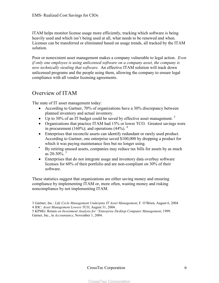ITAM helps monitor license usage more efficiently, tracking which software is being heavily used and which isn't being used at all, what needs to be renewed and when. Licenses can be transferred or eliminated based on usage trends, all tracked by the ITAM solution.

Poor or nonexistent asset management makes a company vulnerable to legal action. *Even if only one employee is using unlicensed software on a company asset, the company is now technically stealing that software.* An effective ITAM solution will track down unlicensed programs and the people using them, allowing the company to ensure legal compliance with all vendor licensing agreements.

## Overview of ITAM

The state of IT asset management today:

- According to Gartner, 70% of organizations have a 30% discrepancy between planned inventory and actual inventory.
- Up to 30% of an IT budget could be saved by effective asset management.  $3$
- Organizations that practice ITAM had 15% or lower TCO. Greatest savings were in procurement (160%); and operations (44%).  $4\overline{ }$
- Enterprises that reconcile assets can identify redundant or rarely used product. According to Gartner, one enterprise saved \$100,000 by dropping a product for which it was paying maintenance fees but no longer using.
- By retiring unused assets, companies may reduce tax bills for assets by as much as  $20-30\%$ . <sup>5</sup>
- Enterprises that do not integrate usage and inventory data overbuy software licenses for 60% of their portfolio and are non-compliant on 30% of their software.

These statistics suggest that organizations are either saving money and ensuring compliance by implementing ITAM or, more often, wasting money and risking noncompliance by not implementing ITAM.

<sup>3</sup> Gartner, Inc.: *Life Cycle Management Underpins IT Asset Management*, F. O'Brien, August 6, 2004 4 IDC: *Asset Management Lowers TCO*, August 31, 2004.

<sup>5</sup> KPMG: Return *on Investment Analysis for "Enterprise Desktop Computer Management*, 1999. Garner, Inc., in *Accountancy*, November 1, 2004.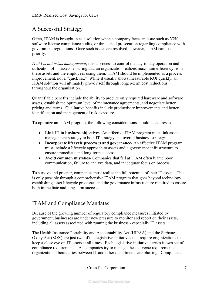## A Successful Strategy

Often, ITAM is brought in as a solution when a company faces an issue such as Y2K, software license compliance audits, or threatened prosecution regarding compliance with government regulations. Once such issues are resolved, however, ITAM can lose it priority.

*ITAM is not crisis management*, it is a process to control the day-to day operation and utilization of IT assets, ensuring that an organization realizes maximum efficiency from these assets and the employees using them. ITAM should be implemented as a process improvement, not a "quick fix." While it usually shows measurable ROI quickly, an ITAM solution will ultimately prove itself through longer-term cost reductions throughout the organization.

Quantifiable benefits include the ability to procure only required hardware and software assets, establish the optimum level of maintenance agreements, and negotiate better pricing and terms. Qualitative benefits include productivity improvements and better identification and management of risk exposure.

To optimize an ITAM program, the following considerations should be addressed:

- **Link IT to business objectives** An effective ITAM program must link asset management strategy to both IT strategy and overall business strategy.
- **Incorporate lifecycle processes and governance** An effective ITAM program must include a lifecycle approach to assets and a governance infrastructure to ensure immediate and long-term success.
- **Avoid common mistakes** Companies that fail at ITAM often blame poor communication, failure to analyze data, and inadequate focus on process.

To survive and prosper, companies must realize the full potential of their IT assets. This is only possible through a comprehensive ITAM program that goes beyond technology, establishing asset lifecycle processes and the governance infrastructure required to ensure both immediate and long-term success.

## ITAM and Compliance Mandates

Because of the growing number of regulatory compliance measures initiated by government, businesses are under new pressure to monitor and report on their assets, including all assets associated with running the business - especially IT assets.

The Health Insurance Portability and Accountability Act (HIPAA) and the Sarbanes-Oxley Act (SOX) are just two of the legislative initiatives that require organizations to keep a close eye on IT assets at all times. Each legislative initiative carries it own set of compliance requirements. As companies try to manage these diverse requirements, organizational boundaries between IT and other departments are blurring. Compliance is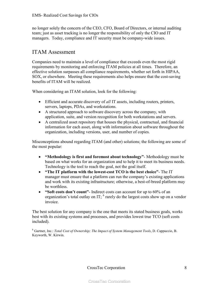no longer solely the concern of the CEO, CFO, Board of Directors, or internal auditing team; just as asset tracking is no longer the responsibility of only the CIO and IT managers. Today, compliance and IT security must be company-wide issues.

## ITAM Assessment

Companies need to maintain a level of compliance that exceeds even the most rigid requirements by monitoring and enforcing ITAM policies at all times. Therefore, an effective solution surpasses all compliance requirements, whether set forth in HIPAA, SOX, or elsewhere. Meeting these requirements also helps ensure that the cost-saving benefits of ITAM will be realized.

When considering an ITAM solution, look for the following:

- Efficient and accurate discovery of *all* IT assets, including routers, printers, servers, laptops, PDAs, and workstations.
- A structured approach to software discovery across the company, with application, suite, and version recognition for both workstations and servers.
- A centralized asset repository that houses the physical, contractual, and financial information for each asset, along with information about software throughout the organization, including versions, user, and number of copies.

Misconceptions abound regarding ITAM (and other) solutions; the following are some of the most popular:

- **"Methodology is first and foremost about technology"** Methodology must be based on what works for an organization and to help it to meet its business needs. Technology is the tool to reach the goal, not the goal itself.
- **"The IT platform with the lowest-cost TCO is the best choice"** The IT manager must ensure that a platform can run the company's existing applications and work with its existing infrastructure; otherwise, a best-of-breed platform may be worthless.
- **"Soft costs don't count"** Indirect costs can account for up to 60% of an organization's total outlay on IT;  $<sup>6</sup>$  rarely do the largest costs show up on a vendor</sup> invoice.

The best solution for any company is the one that meets its stated business goals, works best with its existing systems and processes, and provides lowest true TCO (soft costs included).

6 Gartner, Inc.: *Total Cost of Ownership; The Impact of System Management Tools*, D. Cappuccio, B. Keyworth, W. Kirwin.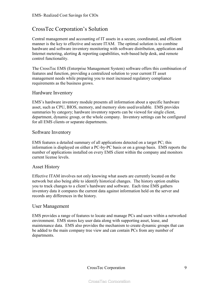## CrossTec Corporation's Solution

Central management and accounting of IT assets in a secure, coordinated, and efficient manner is the key to effective and secure ITAM. The optimal solution is to combine hardware and software inventory monitoring with software distribution, application and Internet metering, alerting & reporting capabilities, web-based help desk, and remote control functionality.

The CrossTec EMS (Enterprise Management System) software offers this combination of features and function, providing a centralized solution to your current IT asset management needs while preparing you to meet increased regulatory compliance requirements as the business grows.

#### Hardware Inventory

EMS's hardware inventory module presents all information about a specific hardware asset, such as CPU, BIOS, memory, and memory slots used/available. EMS provides summaries by category; hardware inventory reports can be viewed for single client, department, dynamic group, or the whole company. Inventory settings can be configured for all EMS clients or separate departments.

#### Software Inventory

EMS features a detailed summary of all applications detected on a target PC; this information is displayed on either a PC-by-PC basis or on a group basis. EMS reports the number of applications installed on every EMS client within the company and monitors current license levels.

#### Asset History

Effective ITAM involves not only knowing what assets are currently located on the network but also being able to identify historical changes. The history option enables you to track changes to a client's hardware and software. Each time EMS gathers inventory data it compares the current data against information held on the server and records any differences in the history.

#### User Management

EMS provides a range of features to locate and manage PCs and users within a networked environment. EMS stores key user data along with supporting asset, lease, and maintenance data. EMS also provides the mechanism to create dynamic groups that can be added to the main company tree view and can contain PCs from any number of departments.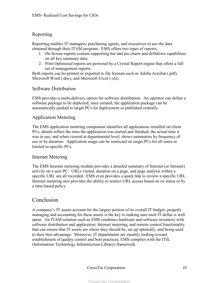### Reporting

Reporting enables IT managers, purchasing agents, and executives to use the data obtained through their ITAM program. EMS offers two types of reports;

- 1. On Screen reports contain supporting bar and pie charts and drilldown capabilities on all key summary data.
- 2. Print Optimized reports are powered by a Crystal Report engine that offers a full set of management reports.

Both reports can be printed or exported to file formats such as Adobe Acrobat (.pdf), Microsoft Word (.doc), and Microsoft Excel (.xls).

#### Software Distribution

EMS provides a multi-delivery option for software distribution. An operator can define a software package to be deployed; once created, the application package can be automatically pushed to target PCs for deployment or published centrally.

#### Application Metering

The EMS application metering component identifies all applications installed on client PCs; details reflect the time the application was started and finished, the actual time it was in use; and when viewed at departmental level, shows summaries by frequency of use or by duration. Application usage can be restricted on target PCs for all users or limited to specific PCs.

#### Internet Metering

The EMS Internet metering module provides a detailed summary of Internet (or Intranet) activity on a user PC: URLs visited, duration on a page, and page analysis within a specific URL are all recorded. EMS even provides a quick link to review a specific URL. Internet metering also provides the ability to restrict URL access based on its status or by a time-based policy.

## Conclusion

A company's IT assets account for the largest portion of its overall IT budget; properly managing and accounting for these assets is the key to making sure each IT dollar is well spent. An ITAM solution such as EMS combines hardware and software inventory with software distribution and application; Internet metering; and remote control functionality that can ensure that IT assets are where they should be, set up optimally, and being used to their best advantage. Moreover, IT departments are steadily looking toward establishment of quality control and best practices; EMS complies with the ITIL (Information Technology Infrastructure Library) framework.